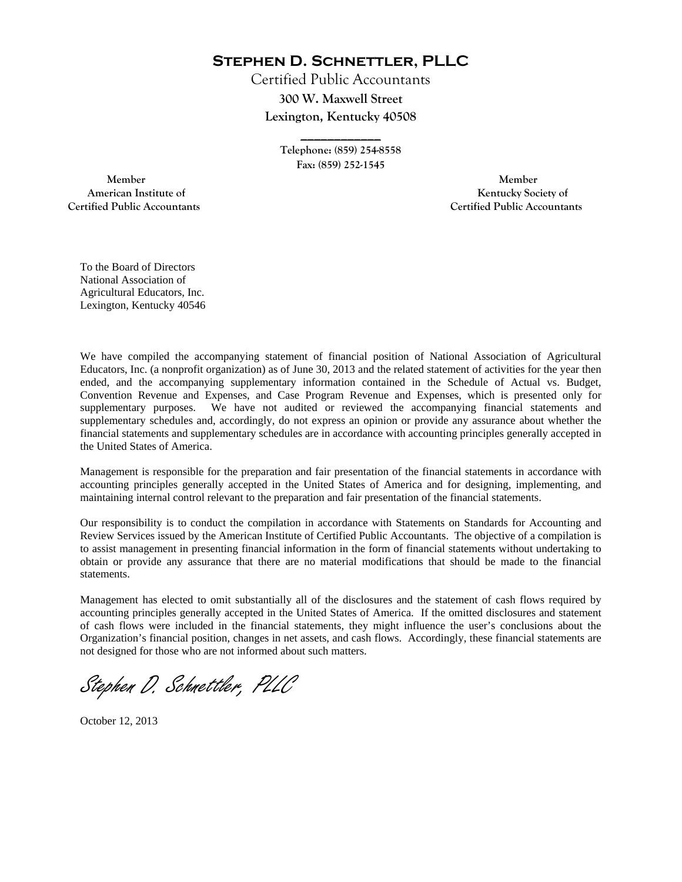**Stephen D. Schnettler, PLLC**

Certified Public Accountants **300 W. Maxwell Street Lexington, Kentucky 40508** 

> **Telephone: (859) 254-8558 Fax: (859) 252-1545**

**\_\_\_\_\_\_\_\_\_\_\_\_** 

 **Member Member Certified Public Accountants Certified Public Accountants** 

American Institute of **Kentucky Society of American Institute of**  $\mathbb{R}^n$ 

To the Board of Directors National Association of Agricultural Educators, Inc. Lexington, Kentucky 40546

We have compiled the accompanying statement of financial position of National Association of Agricultural Educators, Inc. (a nonprofit organization) as of June 30, 2013 and the related statement of activities for the year then ended, and the accompanying supplementary information contained in the Schedule of Actual vs. Budget, Convention Revenue and Expenses, and Case Program Revenue and Expenses, which is presented only for supplementary purposes. We have not audited or reviewed the accompanying financial statements and supplementary schedules and, accordingly, do not express an opinion or provide any assurance about whether the financial statements and supplementary schedules are in accordance with accounting principles generally accepted in the United States of America.

Management is responsible for the preparation and fair presentation of the financial statements in accordance with accounting principles generally accepted in the United States of America and for designing, implementing, and maintaining internal control relevant to the preparation and fair presentation of the financial statements.

Our responsibility is to conduct the compilation in accordance with Statements on Standards for Accounting and Review Services issued by the American Institute of Certified Public Accountants. The objective of a compilation is to assist management in presenting financial information in the form of financial statements without undertaking to obtain or provide any assurance that there are no material modifications that should be made to the financial statements.

Management has elected to omit substantially all of the disclosures and the statement of cash flows required by accounting principles generally accepted in the United States of America. If the omitted disclosures and statement of cash flows were included in the financial statements, they might influence the user's conclusions about the Organization's financial position, changes in net assets, and cash flows. Accordingly, these financial statements are not designed for those who are not informed about such matters.

Stephen D. Schnettler, PLLC

October 12, 2013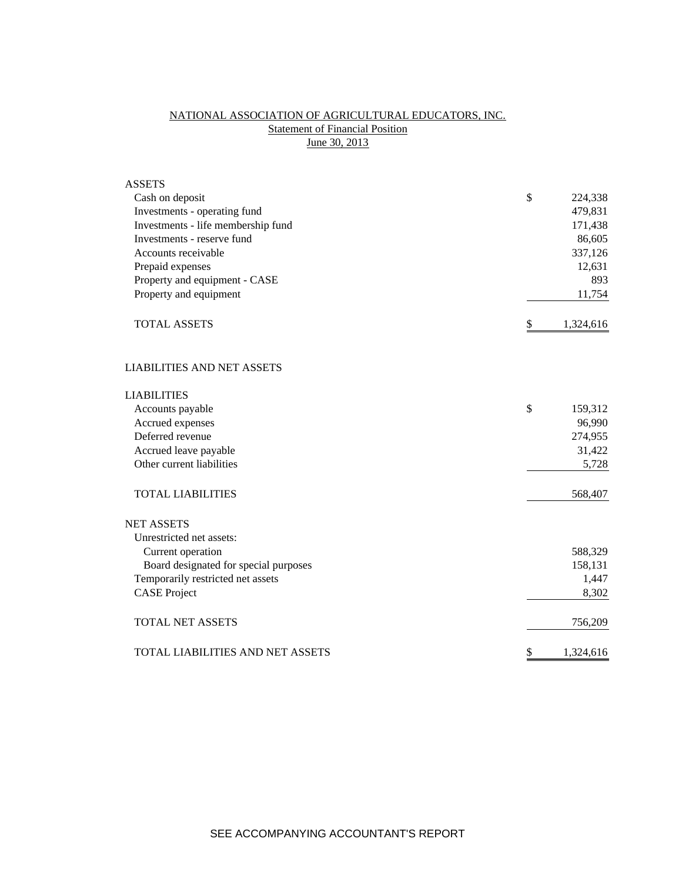## NATIONAL ASSOCIATION OF AGRICULTURAL EDUCATORS, INC. **Statement of Financial Position** June 30, 2013

| <b>ASSETS</b>                         |                 |
|---------------------------------------|-----------------|
| Cash on deposit                       | \$<br>224,338   |
| Investments - operating fund          | 479,831         |
| Investments - life membership fund    | 171,438         |
| Investments - reserve fund            | 86,605          |
| Accounts receivable                   | 337,126         |
| Prepaid expenses                      | 12,631          |
| Property and equipment - CASE         | 893             |
| Property and equipment                | 11,754          |
| <b>TOTAL ASSETS</b>                   | \$<br>1,324,616 |
| <b>LIABILITIES AND NET ASSETS</b>     |                 |
| <b>LIABILITIES</b>                    |                 |
| Accounts payable                      | \$<br>159,312   |
| Accrued expenses                      | 96,990          |
| Deferred revenue                      | 274,955         |
| Accrued leave payable                 | 31,422          |
| Other current liabilities             | 5,728           |
| <b>TOTAL LIABILITIES</b>              | 568,407         |
| <b>NET ASSETS</b>                     |                 |
| Unrestricted net assets:              |                 |
| Current operation                     | 588,329         |
| Board designated for special purposes | 158,131         |
| Temporarily restricted net assets     | 1,447           |
| <b>CASE Project</b>                   | 8,302           |
| <b>TOTAL NET ASSETS</b>               | 756,209         |
| TOTAL LIABILITIES AND NET ASSETS      | \$<br>1,324,616 |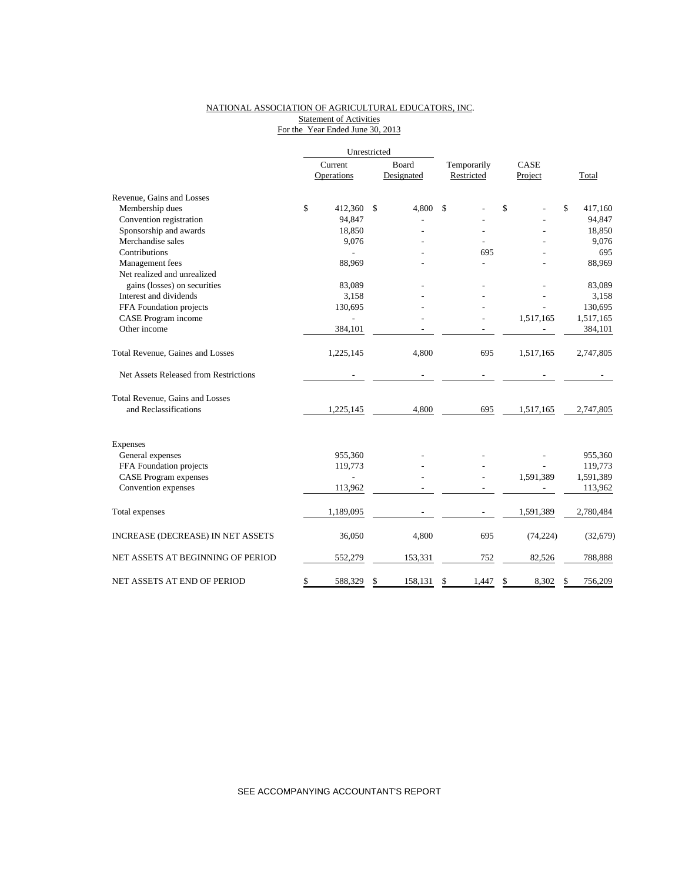#### NATIONAL ASSOCIATION OF AGRICULTURAL EDUCATORS, INC. Statement of Activities For the Year Ended June 30, 2013

|                                       | Unrestricted          |           |    |                            |                           |       |                 |    |           |  |
|---------------------------------------|-----------------------|-----------|----|----------------------------|---------------------------|-------|-----------------|----|-----------|--|
|                                       | Current<br>Operations |           |    | <b>Board</b><br>Designated | Temporarily<br>Restricted |       | CASE<br>Project |    | Total     |  |
| Revenue, Gains and Losses             |                       |           |    |                            |                           |       |                 |    |           |  |
| Membership dues                       | \$                    | 412,360   | \$ | 4.800                      | \$                        |       | \$              | \$ | 417,160   |  |
| Convention registration               |                       | 94,847    |    |                            |                           |       |                 |    | 94,847    |  |
| Sponsorship and awards                |                       | 18,850    |    |                            |                           |       |                 |    | 18,850    |  |
| Merchandise sales                     |                       | 9,076     |    |                            |                           |       |                 |    | 9,076     |  |
| Contributions                         |                       |           |    |                            |                           | 695   |                 |    | 695       |  |
| Management fees                       |                       | 88,969    |    |                            |                           |       |                 |    | 88,969    |  |
| Net realized and unrealized           |                       |           |    |                            |                           |       |                 |    |           |  |
| gains (losses) on securities          |                       | 83,089    |    |                            |                           |       |                 |    | 83,089    |  |
| Interest and dividends                |                       | 3,158     |    |                            |                           |       |                 |    | 3,158     |  |
| FFA Foundation projects               |                       | 130,695   |    |                            |                           |       |                 |    | 130,695   |  |
| CASE Program income                   |                       |           |    |                            |                           |       | 1,517,165       |    | 1,517,165 |  |
| Other income                          |                       | 384,101   |    |                            |                           |       |                 |    | 384,101   |  |
| Total Revenue, Gaines and Losses      |                       | 1,225,145 |    | 4,800                      |                           | 695   | 1,517,165       |    | 2,747,805 |  |
| Net Assets Released from Restrictions |                       |           |    |                            |                           |       |                 |    |           |  |
| Total Revenue, Gains and Losses       |                       |           |    |                            |                           |       |                 |    |           |  |
| and Reclassifications                 |                       | 1,225,145 |    | 4,800                      |                           | 695   | 1,517,165       |    | 2,747,805 |  |
| Expenses                              |                       |           |    |                            |                           |       |                 |    |           |  |
| General expenses                      |                       | 955,360   |    |                            |                           |       |                 |    | 955,360   |  |
| FFA Foundation projects               |                       | 119,773   |    |                            |                           |       |                 |    | 119,773   |  |
| <b>CASE</b> Program expenses          |                       |           |    |                            |                           |       | 1,591,389       |    | 1,591,389 |  |
| Convention expenses                   |                       | 113,962   |    |                            |                           |       |                 |    | 113,962   |  |
| Total expenses                        |                       | 1,189,095 |    |                            |                           |       | 1,591,389       |    | 2,780,484 |  |
| INCREASE (DECREASE) IN NET ASSETS     |                       | 36,050    |    | 4,800                      |                           | 695   | (74, 224)       |    | (32,679)  |  |
| NET ASSETS AT BEGINNING OF PERIOD     |                       | 552,279   |    | 153,331                    |                           | 752   | 82,526          |    | 788,888   |  |
| NET ASSETS AT END OF PERIOD           | \$                    | 588,329   | \$ | 158,131                    | \$                        | 1,447 | \$<br>8,302     | \$ | 756,209   |  |

SEE ACCOMPANYING ACCOUNTANT'S REPORT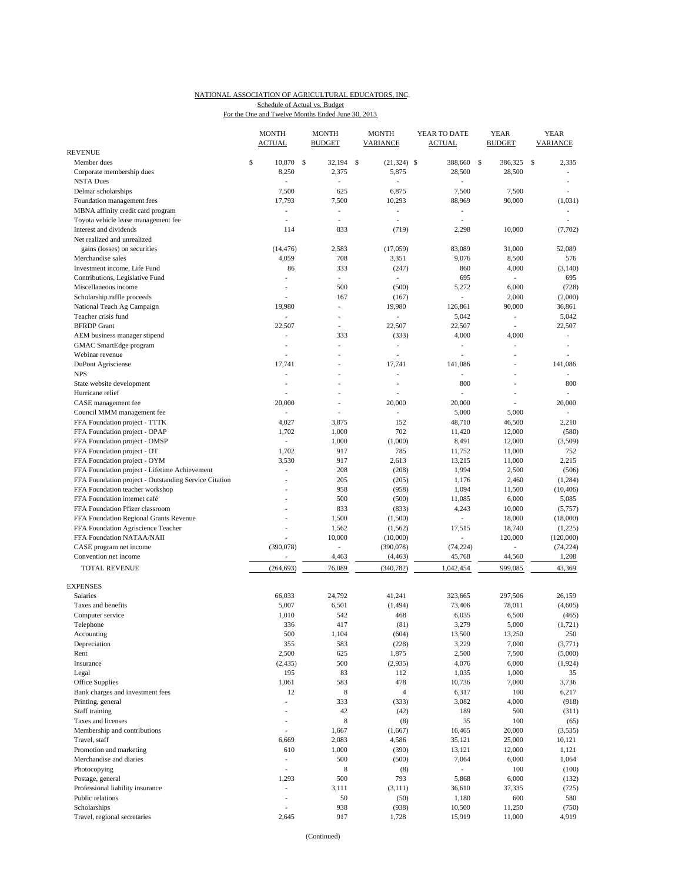#### NATIONAL ASSOCIATION OF AGRICULTURAL EDUCATORS, INC. For the One and Twelve Months Ended June 30, 2013 Schedule of Actual vs. Budget

|                                                                 | <b>MONTH</b><br><b>ACTUAL</b>     |      | <b>MONTH</b><br><b>BUDGET</b> | <b>MONTH</b><br><b>VARIANCE</b> | YEAR TO DATE<br><b>ACTUAL</b> | <b>YEAR</b><br><b>BUDGET</b> | YEAR<br><b>VARIANCE</b>  |
|-----------------------------------------------------------------|-----------------------------------|------|-------------------------------|---------------------------------|-------------------------------|------------------------------|--------------------------|
| <b>REVENUE</b>                                                  |                                   |      |                               |                                 |                               |                              |                          |
| Member dues                                                     | \$<br>10,870                      | - \$ | 32,194                        | \$<br>$(21,324)$ \$             | 388,660                       | <sup>\$</sup><br>386,325     | <sup>\$</sup><br>2,335   |
| Corporate membership dues                                       | 8,250                             |      | 2,375                         | 5,875                           | 28,500                        | 28,500                       | $\overline{\phantom{a}}$ |
| <b>NSTA Dues</b><br>Delmar scholarships                         | $\overline{\phantom{a}}$<br>7,500 |      | ÷<br>625                      | 6,875                           | 7,500                         |                              | ٠<br>÷,                  |
|                                                                 | 17,793                            |      | 7,500                         | 10,293                          | 88,969                        | 7,500<br>90,000              | (1,031)                  |
| Foundation management fees<br>MBNA affinity credit card program | ÷.                                |      | ÷.                            | ä,                              | ٠                             |                              | ٠                        |
| Toyota vehicle lease management fee                             | $\overline{\phantom{a}}$          |      | $\overline{\phantom{a}}$      | ä,                              | ٠                             |                              |                          |
| Interest and dividends                                          | 114                               |      | 833                           | (719)                           | 2,298                         | 10,000                       | (7,702)                  |
| Net realized and unrealized                                     |                                   |      |                               |                                 |                               |                              |                          |
| gains (losses) on securities                                    | (14, 476)                         |      | 2,583                         | (17,059)                        | 83,089                        | 31,000                       | 52,089                   |
| Merchandise sales                                               | 4,059                             |      | 708                           | 3,351                           | 9,076                         | 8,500                        | 576                      |
| Investment income, Life Fund                                    | 86                                |      | 333                           | (247)                           | 860                           | 4,000                        | (3, 140)                 |
| Contributions, Legislative Fund                                 |                                   |      | $\sim$                        | $\overline{\phantom{a}}$        | 695                           | $\overline{\phantom{a}}$     | 695                      |
| Miscellaneous income                                            | $\overline{\phantom{a}}$          |      | 500                           | (500)                           | 5,272                         | 6,000                        | (728)                    |
| Scholarship raffle proceeds                                     | $\overline{a}$                    |      | 167                           | (167)                           |                               | 2,000                        | (2,000)                  |
| National Teach Ag Campaign                                      | 19,980                            |      | ä,                            | 19,980                          | 126,861                       | 90,000                       | 36,861                   |
| Teacher crisis fund                                             | $\overline{\phantom{a}}$          |      |                               | $\overline{a}$                  | 5,042                         | $\overline{\phantom{0}}$     | 5,042                    |
| <b>BFRDP</b> Grant                                              | 22,507                            |      | $\overline{a}$                | 22,507                          | 22,507                        | L,                           | 22,507                   |
| AEM business manager stipend                                    | $\overline{\phantom{a}}$          |      | 333                           | (333)                           | 4,000                         | 4,000                        | ÷.                       |
| GMAC SmartEdge program                                          |                                   |      | ÷,                            | L,                              | ٠                             | $\overline{a}$               | ä,                       |
| Webinar revenue                                                 |                                   |      |                               | L,                              |                               | $\overline{a}$               |                          |
| DuPont Agrisciense                                              | 17,741                            |      |                               | 17,741                          | 141,086                       | ÷.                           | 141,086                  |
| <b>NPS</b>                                                      | ٠                                 |      | ٠                             | L,                              |                               | ٠                            |                          |
| State website development                                       |                                   |      |                               |                                 | 800                           | L,                           | 800                      |
| Hurricane relief                                                |                                   |      |                               |                                 |                               | $\overline{\phantom{a}}$     |                          |
| CASE management fee                                             | 20,000                            |      | ÷,                            | 20,000                          | 20,000                        |                              | 20,000                   |
| Council MMM management fee                                      | $\overline{\phantom{a}}$          |      | ÷,                            | $\overline{\phantom{a}}$        | 5,000                         | 5,000                        | ÷,                       |
| FFA Foundation project - TTTK                                   | 4,027                             |      | 3,875                         | 152                             | 48,710                        | 46,500                       | 2,210                    |
| FFA Foundation project - OPAP                                   | 1,702                             |      | 1,000                         | 702                             | 11,420                        | 12,000                       | (580)                    |
| FFA Foundation project - OMSP                                   | $\overline{\phantom{a}}$          |      | 1,000                         | (1,000)                         | 8,491                         | 12,000                       | (3,509)                  |
| FFA Foundation project - OT                                     | 1,702                             |      | 917                           | 785                             | 11,752                        | 11,000                       | 752                      |
| FFA Foundation project - OYM                                    | 3,530                             |      | 917                           | 2,613                           | 13,215                        | 11,000                       | 2,215                    |
| FFA Foundation project - Lifetime Achievement                   | ÷,                                |      | 208                           | (208)                           | 1,994                         | 2,500                        | (506)                    |
| FFA Foundation project - Outstanding Service Citation           |                                   |      | 205                           | (205)                           | 1,176                         | 2,460                        | (1, 284)                 |
| FFA Foundation teacher workshop                                 |                                   |      | 958                           | (958)                           | 1,094                         | 11,500                       | (10, 406)                |
| FFA Foundation internet café<br>FFA Foundation Pfizer classroom |                                   |      | 500<br>833                    | (500)<br>(833)                  | 11,085<br>4,243               | 6,000<br>10,000              | 5,085<br>(5,757)         |
| FFA Foundation Regional Grants Revenue                          |                                   |      | 1,500                         | (1,500)                         |                               | 18,000                       | (18,000)                 |
| FFA Foundation Agriscience Teacher                              | $\overline{a}$                    |      | 1,562                         | (1, 562)                        | 17,515                        | 18,740                       | (1,225)                  |
| FFA Foundation NATAA/NAII                                       |                                   |      | 10,000                        | (10,000)                        |                               | 120,000                      | (120,000)                |
| CASE program net income                                         | (390,078)                         |      | $\overline{\phantom{a}}$      | (390,078)                       | (74, 224)                     | ÷,                           | (74, 224)                |
| Convention net income                                           | ä,                                |      | 4,463                         | (4, 463)                        | 45,768                        | 44,560                       | 1,208                    |
| TOTAL REVENUE                                                   | (264, 693)                        |      | 76,089                        | (340, 782)                      | 1,042,454                     | 999,085                      | 43,369                   |
|                                                                 |                                   |      |                               |                                 |                               |                              |                          |
| <b>EXPENSES</b>                                                 |                                   |      |                               |                                 |                               |                              |                          |
| <b>Salaries</b>                                                 | 66,033                            |      | 24,792                        | 41,241                          | 323,665                       | 297,506                      | 26,159                   |
| Taxes and benefits                                              | 5,007                             |      | 6,501                         | (1, 494)<br>468                 | 73,406                        | 78,011                       | (4,605)                  |
| Computer service<br>Telephone                                   | 1,010<br>336                      |      | 542<br>417                    | (81)                            | 6,035<br>3,279                | 6,500<br>5,000               | (465)<br>(1, 721)        |
|                                                                 |                                   |      | 1,104                         |                                 | 13,500                        |                              | 250                      |
| Accounting<br>Depreciation                                      | 500<br>355                        |      | 583                           | (604)<br>(228)                  | 3,229                         | 13,250<br>7,000              | (3, 771)                 |
| Rent                                                            | 2,500                             |      | 625                           | 1,875                           | 2,500                         | 7,500                        | (5,000)                  |
| Insurance                                                       | (2, 435)                          |      | 500                           | (2,935)                         | 4,076                         | 6,000                        | (1, 924)                 |
| Legal                                                           | 195                               |      | 83                            | 112                             | 1,035                         | 1,000                        | 35                       |
| Office Supplies                                                 | 1,061                             |      | 583                           | 478                             | 10,736                        | 7,000                        | 3,736                    |
| Bank charges and investment fees                                | 12                                |      | $\,$ 8 $\,$                   | $\overline{4}$                  | 6,317                         | 100                          | 6,217                    |
| Printing, general                                               | $\overline{\phantom{a}}$          |      | 333                           | (333)                           | 3,082                         | 4,000                        | (918)                    |
| Staff training                                                  | $\overline{\phantom{a}}$          |      | 42                            | (42)                            | 189                           | 500                          | (311)                    |
| Taxes and licenses                                              | $\overline{\phantom{a}}$          |      | 8                             | (8)                             | 35                            | 100                          | (65)                     |
| Membership and contributions                                    | ÷,                                |      | 1,667                         | (1,667)                         | 16,465                        | 20,000                       | (3, 535)                 |
| Travel, staff                                                   | 6,669                             |      | 2,083                         | 4,586                           | 35,121                        | 25,000                       | 10,121                   |
| Promotion and marketing                                         | 610                               |      | 1,000                         | (390)                           | 13,121                        | 12,000                       | 1,121                    |
| Merchandise and diaries                                         | $\overline{\phantom{a}}$          |      | 500                           | (500)                           | 7,064                         | 6,000                        | 1,064                    |
| Photocopying                                                    | i,                                |      | 8                             | (8)                             | $\overline{\phantom{a}}$      | 100                          | (100)                    |
| Postage, general                                                | 1,293                             |      | 500                           | 793                             | 5,868                         | 6,000                        | (132)                    |
| Professional liability insurance                                | $\overline{\phantom{a}}$          |      | 3,111                         | (3, 111)                        | 36,610                        | 37,335                       | (725)                    |
| Public relations                                                | ÷,                                |      | 50                            | (50)                            | 1,180                         | 600                          | 580                      |
| Scholarships                                                    | $\overline{\phantom{a}}$          |      | 938                           | (938)                           | 10,500                        | 11,250                       | (750)                    |
| Travel, regional secretaries                                    | 2,645                             |      | 917                           | 1,728                           | 15,919                        | 11,000                       | 4,919                    |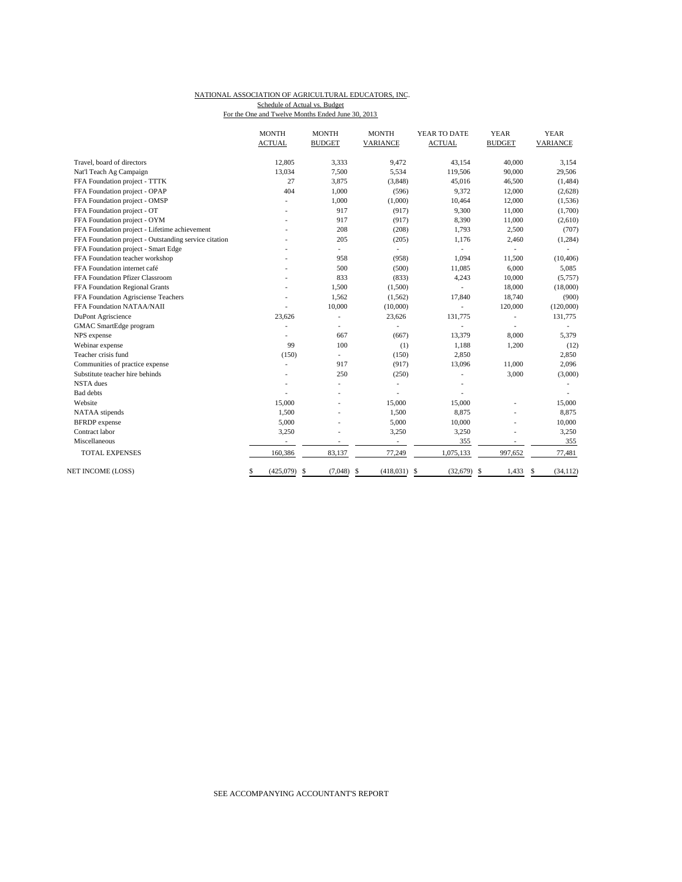### NATIONAL ASSOCIATION OF AGRICULTURAL EDUCATORS, INC. Schedule of Actual vs. Budget

For the One and Twelve Months Ended June 30, 2013

|                                                       | <b>MONTH</b>             | <b>MONTH</b>             | <b>MONTH</b>             | YEAR TO DATE             | <b>YEAR</b>    | <b>YEAR</b>                  |
|-------------------------------------------------------|--------------------------|--------------------------|--------------------------|--------------------------|----------------|------------------------------|
|                                                       | <b>ACTUAL</b>            | <b>BUDGET</b>            | <b>VARIANCE</b>          | <b>ACTUAL</b>            | <b>BUDGET</b>  | VARIANCE                     |
| Travel, board of directors                            | 12,805                   | 3,333                    | 9,472                    | 43,154                   | 40,000         | 3,154                        |
| Nat'l Teach Ag Campaign                               | 13,034                   | 7,500                    | 5,534                    | 119,506                  | 90,000         | 29,506                       |
| FFA Foundation project - TTTK                         | 27                       | 3.875                    | (3,848)                  | 45,016                   | 46,500         | (1,484)                      |
| FFA Foundation project - OPAP                         | 404                      | 1,000                    | (596)                    | 9,372                    | 12,000         | (2,628)                      |
| FFA Foundation project - OMSP                         |                          | 1,000                    | (1,000)                  | 10,464                   | 12,000         | (1, 536)                     |
| FFA Foundation project - OT                           |                          | 917                      | (917)                    | 9,300                    | 11,000         | (1,700)                      |
| FFA Foundation project - OYM                          |                          | 917                      | (917)                    | 8,390                    | 11,000         | (2,610)                      |
| FFA Foundation project - Lifetime achievement         |                          | 208                      | (208)                    | 1,793                    | 2,500          | (707)                        |
| FFA Foundation project - Outstanding service citation |                          | 205                      | (205)                    | 1,176                    | 2,460          | (1, 284)                     |
| FFA Foundation project - Smart Edge                   |                          | $\overline{\phantom{a}}$ | $\overline{\phantom{a}}$ | $\overline{\phantom{a}}$ | ä,             |                              |
| FFA Foundation teacher workshop                       |                          | 958                      | (958)                    | 1,094                    | 11,500         | (10, 406)                    |
| FFA Foundation internet café                          |                          | 500                      | (500)                    | 11,085                   | 6,000          | 5,085                        |
| FFA Foundation Pfizer Classroom                       |                          | 833                      | (833)                    | 4,243                    | 10,000         | (5,757)                      |
| FFA Foundation Regional Grants                        |                          | 1,500                    | (1,500)                  |                          | 18,000         | (18,000)                     |
| FFA Foundation Agrisciense Teachers                   |                          | 1,562                    | (1, 562)                 | 17,840                   | 18,740         | (900)                        |
| FFA Foundation NATAA/NAII                             |                          | 10,000                   | (10,000)                 |                          | 120,000        | (120,000)                    |
| DuPont Agriscience                                    | 23,626                   | ÷,                       | 23,626                   | 131,775                  |                | 131,775                      |
| GMAC SmartEdge program                                | ٠                        | $\overline{a}$           |                          | $\overline{a}$           | $\overline{a}$ | $\qquad \qquad \blacksquare$ |
| NPS expense                                           |                          | 667                      | (667)                    | 13,379                   | 8,000          | 5,379                        |
| Webinar expense                                       | 99                       | 100                      | (1)                      | 1,188                    | 1,200          | (12)                         |
| Teacher crisis fund                                   | (150)                    | ٠                        | (150)                    | 2,850                    |                | 2,850                        |
| Communities of practice expense                       | $\overline{a}$           | 917                      | (917)                    | 13,096                   | 11,000         | 2,096                        |
| Substitute teacher hire behinds                       |                          | 250                      | (250)                    |                          | 3,000          | (3,000)                      |
| <b>NSTA</b> dues                                      |                          |                          | ä,                       |                          |                |                              |
| <b>Bad</b> debts                                      |                          |                          |                          |                          |                |                              |
| Website                                               | 15,000                   |                          | 15,000                   | 15,000                   |                | 15,000                       |
| NATAA stipends                                        | 1,500                    |                          | 1,500                    | 8,875                    |                | 8,875                        |
| <b>BFRDP</b> expense                                  | 5,000                    |                          | 5,000                    | 10,000                   |                | 10,000                       |
| Contract labor                                        | 3,250                    |                          | 3,250                    | 3,250                    |                | 3,250                        |
| Miscellaneous                                         | $\overline{\phantom{a}}$ | ٠                        | $\overline{\phantom{a}}$ | 355                      |                | 355                          |
| TOTAL EXPENSES                                        | 160,386                  | 83,137                   | 77,249                   | 1,075,133                | 997,652        | 77,481                       |
| NET INCOME (LOSS)                                     | \$<br>$(425,079)$ \$     | $(7,048)$ \$             | $(418,031)$ \$           | $(32,679)$ \$            | 1,433          | (34, 112)<br>-S              |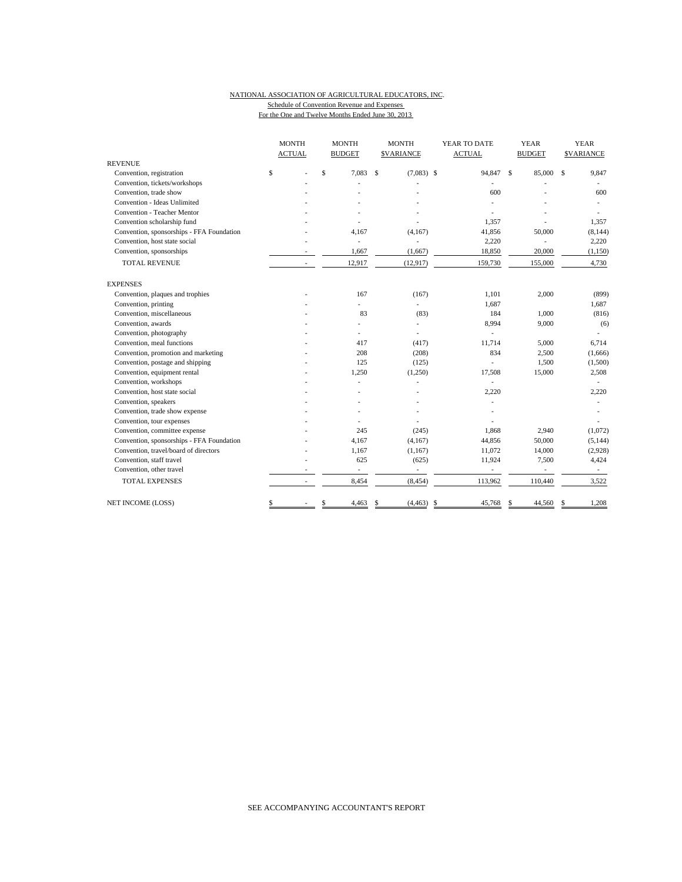#### NATIONAL ASSOCIATION OF AGRICULTURAL EDUCATORS, INC. Schedule of Convention Revenue and Expenses

For the One and Twelve Months Ended June 30, 2013

|                                           | <b>MONTH</b><br><b>ACTUAL</b> |                          | <b>MONTH</b><br><b>MONTH</b><br><b>SVARIANCE</b><br><b>BUDGET</b> |                          | YEAR TO DATE<br><b>ACTUAL</b> | <b>YEAR</b><br><b>BUDGET</b> | <b>YEAR</b><br><b>SVARIANCE</b> |                          |             |
|-------------------------------------------|-------------------------------|--------------------------|-------------------------------------------------------------------|--------------------------|-------------------------------|------------------------------|---------------------------------|--------------------------|-------------|
| <b>REVENUE</b>                            |                               |                          |                                                                   |                          |                               |                              |                                 |                          |             |
| Convention, registration                  | $\mathsf{\$}$                 |                          | $\mathsf{s}$                                                      | 7.083                    | $\mathbf S$<br>$(7,083)$ \$   |                              | 94,847                          | $\mathbf{s}$<br>85,000   | \$<br>9,847 |
| Convention, tickets/workshops             |                               |                          |                                                                   |                          |                               |                              |                                 |                          |             |
| Convention, trade show                    |                               |                          |                                                                   |                          |                               |                              | 600                             |                          | 600         |
| Convention - Ideas Unlimited              |                               |                          |                                                                   |                          |                               |                              |                                 |                          |             |
| <b>Convention - Teacher Mentor</b>        |                               |                          |                                                                   |                          |                               |                              |                                 |                          |             |
| Convention scholarship fund               |                               |                          |                                                                   |                          |                               |                              | 1,357                           |                          | 1,357       |
| Convention, sponsorships - FFA Foundation |                               |                          |                                                                   | 4,167                    | (4,167)                       |                              | 41,856                          | 50,000                   | (8, 144)    |
| Convention, host state social             |                               |                          |                                                                   | ÷.                       |                               |                              | 2,220                           |                          | 2,220       |
| Convention, sponsorships                  |                               |                          |                                                                   | 1,667                    | (1,667)                       |                              | 18,850                          | 20,000                   | (1, 150)    |
| TOTAL REVENUE                             |                               |                          |                                                                   | 12,917                   | (12, 917)                     |                              | 159,730                         | 155,000                  | 4,730       |
| <b>EXPENSES</b>                           |                               |                          |                                                                   |                          |                               |                              |                                 |                          |             |
| Convention, plaques and trophies          |                               |                          |                                                                   | 167                      | (167)                         |                              | 1,101                           | 2,000                    | (899)       |
| Convention, printing                      |                               |                          |                                                                   | $\overline{\phantom{0}}$ |                               |                              | 1,687                           |                          | 1,687       |
| Convention, miscellaneous                 |                               |                          |                                                                   | 83                       | (83)                          |                              | 184                             | 1,000                    | (816)       |
| Convention, awards                        |                               |                          |                                                                   | ٠                        | L.                            |                              | 8,994                           | 9,000                    | (6)         |
| Convention, photography                   |                               |                          |                                                                   | ÷,                       | ä,                            |                              |                                 |                          | ä,          |
| Convention, meal functions                |                               |                          |                                                                   | 417                      | (417)                         |                              | 11,714                          | 5,000                    | 6,714       |
| Convention, promotion and marketing       |                               |                          |                                                                   | 208                      | (208)                         |                              | 834                             | 2,500                    | (1,666)     |
| Convention, postage and shipping          |                               |                          |                                                                   | 125                      | (125)                         |                              | ÷.                              | 1,500                    | (1,500)     |
| Convention, equipment rental              |                               |                          |                                                                   | 1,250                    | (1,250)                       |                              | 17,508                          | 15,000                   | 2,508       |
| Convention, workshops                     |                               |                          |                                                                   |                          |                               |                              |                                 |                          |             |
| Convention, host state social             |                               |                          |                                                                   |                          |                               |                              | 2,220                           |                          | 2,220       |
| Convention, speakers                      |                               |                          |                                                                   |                          |                               |                              |                                 |                          |             |
| Convention, trade show expense            |                               |                          |                                                                   |                          |                               |                              |                                 |                          |             |
| Convention, tour expenses                 |                               |                          |                                                                   |                          |                               |                              |                                 |                          |             |
| Convention, committee expense             |                               |                          |                                                                   | 245                      | (245)                         |                              | 1.868                           | 2,940                    | (1,072)     |
| Convention, sponsorships - FFA Foundation |                               |                          |                                                                   | 4,167                    | (4,167)                       |                              | 44,856                          | 50,000                   | (5, 144)    |
| Convention, travel/board of directors     |                               |                          |                                                                   | 1,167                    | (1,167)                       |                              | 11,072                          | 14,000                   | (2,928)     |
| Convention, staff travel                  |                               |                          |                                                                   | 625                      | (625)                         |                              | 11,924                          | 7,500                    | 4,424       |
| Convention, other travel                  |                               |                          |                                                                   | $\overline{\phantom{a}}$ | ÷,                            |                              | $\overline{\phantom{a}}$        | $\overline{\phantom{a}}$ | $\sim$      |
| <b>TOTAL EXPENSES</b>                     |                               | $\overline{\phantom{a}}$ |                                                                   | 8,454                    | (8, 454)                      |                              | 113,962                         | 110,440                  | 3,522       |
| <b>NET INCOME (LOSS)</b>                  | \$                            |                          | \$                                                                | 4,463                    | \$<br>(4, 463)                | \$                           | 45,768                          | 44,560<br>\$             | 1,208<br>S  |